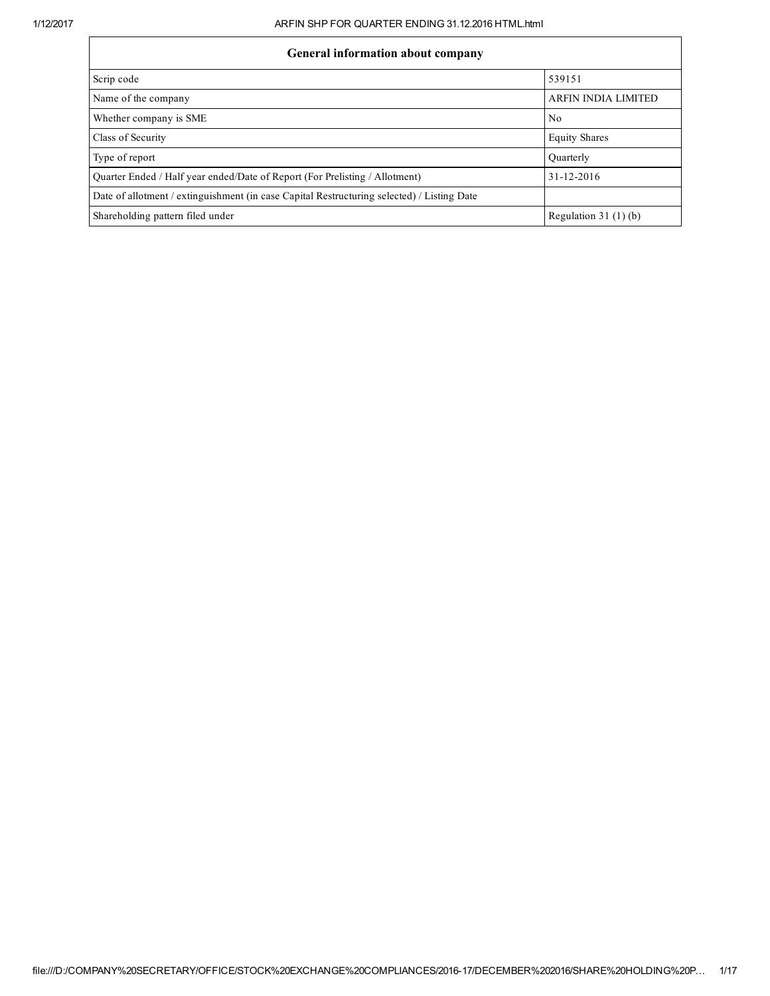| General information about company                                                          |                            |
|--------------------------------------------------------------------------------------------|----------------------------|
| Scrip code                                                                                 | 539151                     |
| Name of the company                                                                        | <b>ARFIN INDIA LIMITED</b> |
| Whether company is SME                                                                     | N <sub>0</sub>             |
| Class of Security                                                                          | <b>Equity Shares</b>       |
| Type of report                                                                             | Ouarterly                  |
| Ouarter Ended / Half year ended/Date of Report (For Prelisting / Allotment)                | 31-12-2016                 |
| Date of allotment / extinguishment (in case Capital Restructuring selected) / Listing Date |                            |
| Shareholding pattern filed under                                                           | Regulation $31(1)(b)$      |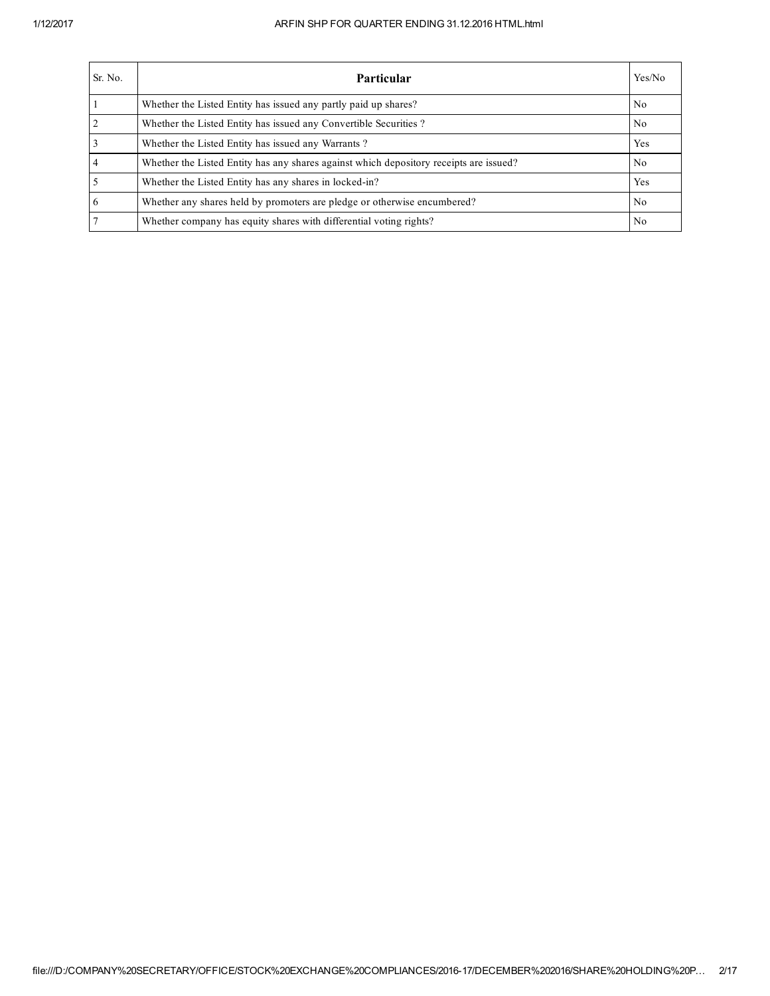| Sr. No. | <b>Particular</b>                                                                      | Yes/No         |
|---------|----------------------------------------------------------------------------------------|----------------|
|         | Whether the Listed Entity has issued any partly paid up shares?                        | No.            |
|         | Whether the Listed Entity has issued any Convertible Securities?                       | N <sub>0</sub> |
|         | Whether the Listed Entity has issued any Warrants?                                     | Yes            |
|         | Whether the Listed Entity has any shares against which depository receipts are issued? | No.            |
|         | Whether the Listed Entity has any shares in locked-in?                                 | Yes            |
| 6       | Whether any shares held by promoters are pledge or otherwise encumbered?               | No.            |
|         | Whether company has equity shares with differential voting rights?                     | No.            |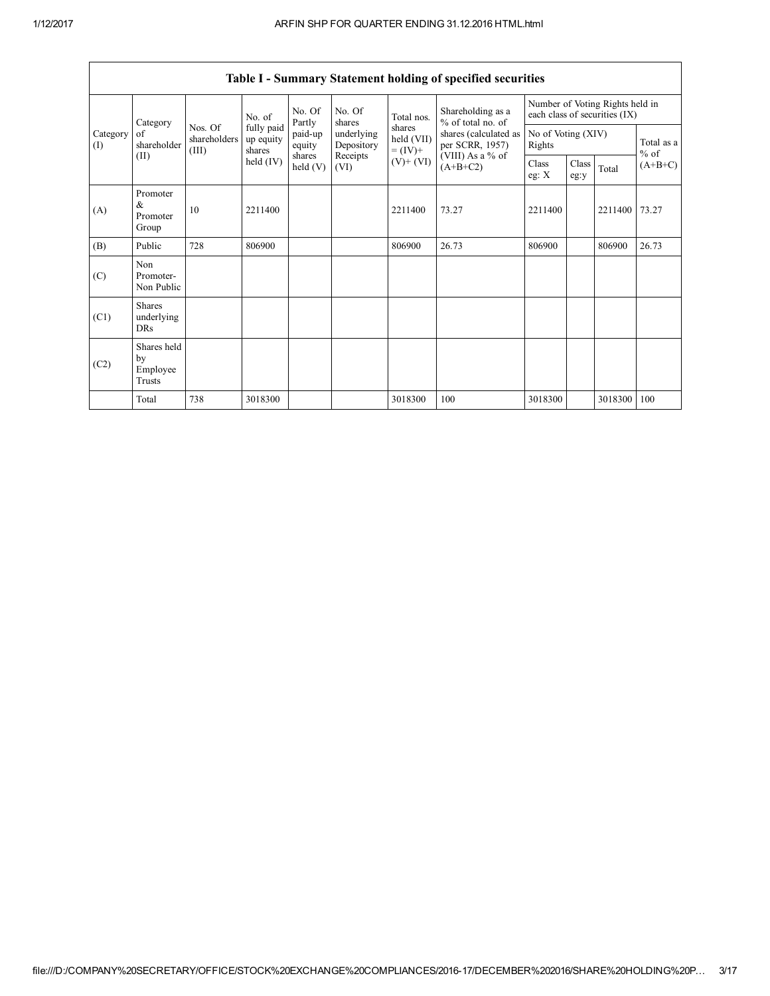|                 | Category                                  | No. of                           |                                   | No. Of<br>Partly   | No. Of<br>shares         | Total nos.                         | Shareholding as a<br>% of total no. of   | Number of Voting Rights held in<br>each class of securities (IX) |               |         |                      |
|-----------------|-------------------------------------------|----------------------------------|-----------------------------------|--------------------|--------------------------|------------------------------------|------------------------------------------|------------------------------------------------------------------|---------------|---------|----------------------|
| Category<br>(I) | of<br>shareholder                         | Nos. Of<br>shareholders<br>(III) | fully paid<br>up equity<br>shares | paid-up<br>equity  | underlying<br>Depository | shares<br>held (VII)<br>$= (IV) +$ | shares (calculated as<br>per SCRR, 1957) | No of Voting (XIV)<br>Rights                                     |               |         | Total as a<br>$%$ of |
|                 | (II)                                      |                                  | held $(IV)$                       | shares<br>held (V) | Receipts<br>(VI)         | $(V)+(VI)$                         | (VIII) As a % of<br>$(A+B+C2)$           | Class<br>eg: $X$                                                 | Class<br>eg:y | Total   | $(A+B+C)$            |
| (A)             | Promoter<br>&<br>Promoter<br>Group        | 10                               | 2211400                           |                    |                          | 2211400                            | 73.27                                    | 2211400                                                          |               | 2211400 | 73.27                |
| (B)             | Public                                    | 728                              | 806900                            |                    |                          | 806900                             | 26.73                                    | 806900                                                           |               | 806900  | 26.73                |
| (C)             | Non<br>Promoter-<br>Non Public            |                                  |                                   |                    |                          |                                    |                                          |                                                                  |               |         |                      |
| (C1)            | <b>Shares</b><br>underlying<br><b>DRs</b> |                                  |                                   |                    |                          |                                    |                                          |                                                                  |               |         |                      |
| (C2)            | Shares held<br>by<br>Employee<br>Trusts   |                                  |                                   |                    |                          |                                    |                                          |                                                                  |               |         |                      |
|                 | Total                                     | 738                              | 3018300                           |                    |                          | 3018300                            | 100                                      | 3018300                                                          |               | 3018300 | 100                  |

| Table I - Summary Statement holding of specified securities |  |  |
|-------------------------------------------------------------|--|--|
|                                                             |  |  |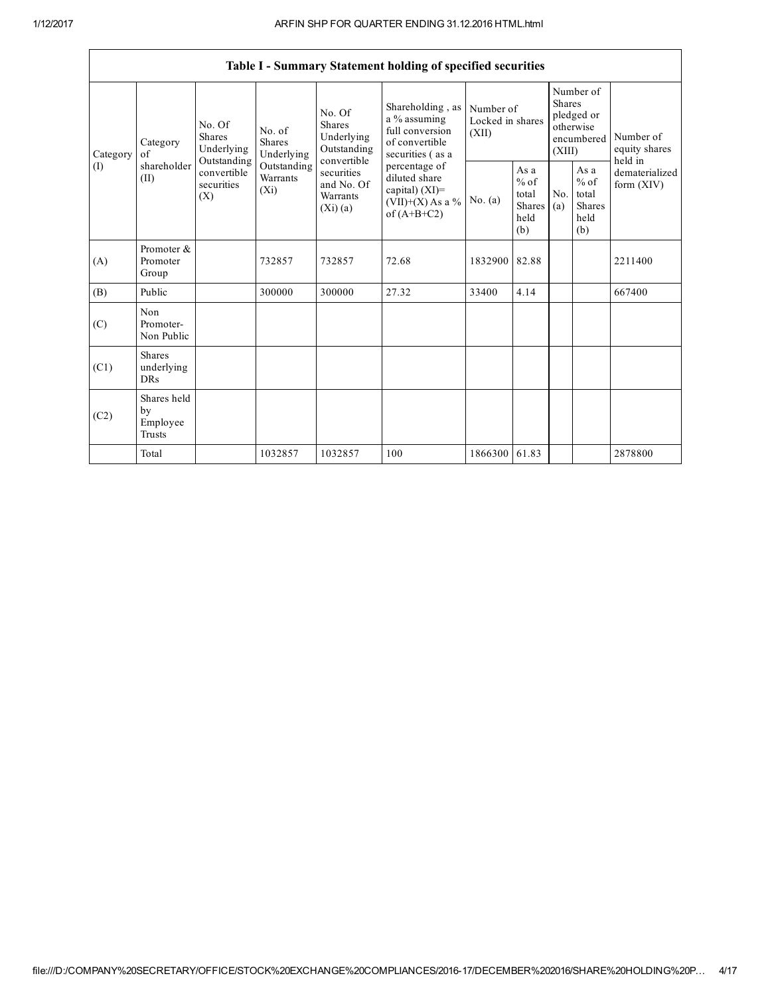|                                       |                                                |                                                                                          |                                                                             |                                                                                                                               | Table I - Summary Statement holding of specified securities                                                                                                                             |                                        |                                                         |                                                                               |                                                         |                                       |
|---------------------------------------|------------------------------------------------|------------------------------------------------------------------------------------------|-----------------------------------------------------------------------------|-------------------------------------------------------------------------------------------------------------------------------|-----------------------------------------------------------------------------------------------------------------------------------------------------------------------------------------|----------------------------------------|---------------------------------------------------------|-------------------------------------------------------------------------------|---------------------------------------------------------|---------------------------------------|
| $\alpha$ f<br>Category<br>(I)<br>(II) | Category                                       | No. Of<br><b>Shares</b><br>Underlying<br>Outstanding<br>convertible<br>securities<br>(X) | No. of<br><b>Shares</b><br>Underlying<br>Outstanding<br>Warrants<br>$(X_i)$ | No. Of<br><b>Shares</b><br>Underlying<br>Outstanding<br>convertible<br>securities<br>and No. Of<br><b>Warrants</b><br>(Xi)(a) | Shareholding, as<br>a % assuming<br>full conversion<br>of convertible<br>securities (as a<br>percentage of<br>diluted share<br>capital) $(XI)$ =<br>$(VII)+(X)$ As a %<br>of $(A+B+C2)$ | Number of<br>Locked in shares<br>(XII) |                                                         | Number of<br><b>Shares</b><br>pledged or<br>otherwise<br>encumbered<br>(XIII) |                                                         | Number of<br>equity shares<br>held in |
|                                       | shareholder                                    |                                                                                          |                                                                             |                                                                                                                               |                                                                                                                                                                                         | No. $(a)$                              | As a<br>$%$ of<br>total<br><b>Shares</b><br>held<br>(b) | No.<br>(a)                                                                    | As a<br>$%$ of<br>total<br><b>Shares</b><br>held<br>(b) | dematerialized<br>form $(XIV)$        |
| (A)                                   | Promoter &<br>Promoter<br>Group                |                                                                                          | 732857                                                                      | 732857                                                                                                                        | 72.68                                                                                                                                                                                   | 1832900                                | 82.88                                                   |                                                                               |                                                         | 2211400                               |
| (B)                                   | Public                                         |                                                                                          | 300000                                                                      | 300000                                                                                                                        | 27.32                                                                                                                                                                                   | 33400                                  | 4.14                                                    |                                                                               |                                                         | 667400                                |
| (C)                                   | Non<br>Promoter-<br>Non Public                 |                                                                                          |                                                                             |                                                                                                                               |                                                                                                                                                                                         |                                        |                                                         |                                                                               |                                                         |                                       |
| (C1)                                  | <b>Shares</b><br>underlying<br>DRs             |                                                                                          |                                                                             |                                                                                                                               |                                                                                                                                                                                         |                                        |                                                         |                                                                               |                                                         |                                       |
| (C2)                                  | Shares held<br>by<br>Employee<br><b>Trusts</b> |                                                                                          |                                                                             |                                                                                                                               |                                                                                                                                                                                         |                                        |                                                         |                                                                               |                                                         |                                       |
|                                       | Total                                          |                                                                                          | 1032857                                                                     | 1032857                                                                                                                       | 100                                                                                                                                                                                     | 1866300 61.83                          |                                                         |                                                                               |                                                         | 2878800                               |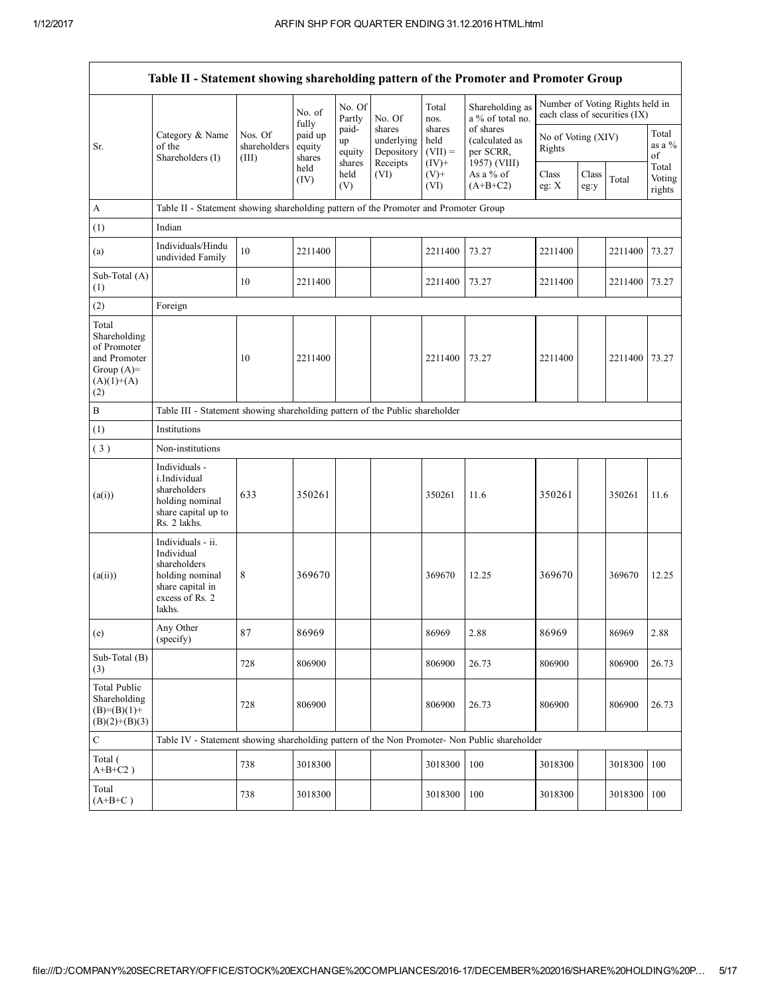|                                                                                             | Table II - Statement showing shareholding pattern of the Promoter and Promoter Group                                |                                                                              |                                      |                                 |                                                |                                        |                                                          |                              |               |                                                                  |                           |  |
|---------------------------------------------------------------------------------------------|---------------------------------------------------------------------------------------------------------------------|------------------------------------------------------------------------------|--------------------------------------|---------------------------------|------------------------------------------------|----------------------------------------|----------------------------------------------------------|------------------------------|---------------|------------------------------------------------------------------|---------------------------|--|
|                                                                                             |                                                                                                                     |                                                                              | No. of                               | No. Of<br>Partly                | No. Of                                         | Total<br>nos.                          | Shareholding as<br>a % of total no.                      |                              |               | Number of Voting Rights held in<br>each class of securities (IX) |                           |  |
| Sr.                                                                                         | Category & Name<br>of the<br>Shareholders (I)                                                                       | Nos. Of<br>shareholders<br>(III)                                             | fully<br>paid up<br>equity<br>shares | paid-<br>up<br>equity<br>shares | shares<br>underlying<br>Depository<br>Receipts | shares<br>held<br>$(VII) =$<br>$(IV)+$ | of shares<br>(calculated as<br>per SCRR,<br>1957) (VIII) | No of Voting (XIV)<br>Rights |               |                                                                  | Total<br>as a %<br>of     |  |
|                                                                                             |                                                                                                                     |                                                                              | held<br>(IV)                         | held<br>(V)                     | (VI)                                           | $(V)$ +<br>(VI)                        | As a % of<br>$(A+B+C2)$                                  | Class<br>eg: X               | Class<br>eg:y | Total                                                            | Total<br>Voting<br>rights |  |
| A                                                                                           | Table II - Statement showing shareholding pattern of the Promoter and Promoter Group                                |                                                                              |                                      |                                 |                                                |                                        |                                                          |                              |               |                                                                  |                           |  |
| (1)                                                                                         | Indian                                                                                                              |                                                                              |                                      |                                 |                                                |                                        |                                                          |                              |               |                                                                  |                           |  |
| (a)                                                                                         | Individuals/Hindu<br>undivided Family                                                                               | 10                                                                           | 2211400                              |                                 |                                                | 2211400                                | 73.27                                                    | 2211400                      |               | 2211400                                                          | 73.27                     |  |
| Sub-Total (A)<br>(1)                                                                        |                                                                                                                     | 10                                                                           | 2211400                              |                                 |                                                | 2211400                                | 73.27                                                    | 2211400                      |               | 2211400 73.27                                                    |                           |  |
| (2)                                                                                         | Foreign                                                                                                             |                                                                              |                                      |                                 |                                                |                                        |                                                          |                              |               |                                                                  |                           |  |
| Total<br>Shareholding<br>of Promoter<br>and Promoter<br>Group $(A)=$<br>$(A)(1)+(A)$<br>(2) |                                                                                                                     | 10                                                                           | 2211400                              |                                 |                                                | 2211400                                | 73.27                                                    | 2211400                      |               | 2211400                                                          | 73.27                     |  |
| В                                                                                           |                                                                                                                     | Table III - Statement showing shareholding pattern of the Public shareholder |                                      |                                 |                                                |                                        |                                                          |                              |               |                                                                  |                           |  |
| (1)                                                                                         | Institutions                                                                                                        |                                                                              |                                      |                                 |                                                |                                        |                                                          |                              |               |                                                                  |                           |  |
| (3)                                                                                         | Non-institutions                                                                                                    |                                                                              |                                      |                                 |                                                |                                        |                                                          |                              |               |                                                                  |                           |  |
| (a(i))                                                                                      | Individuals -<br>i.Individual<br>shareholders<br>holding nominal<br>share capital up to<br>Rs. 2 lakhs.             | 633                                                                          | 350261                               |                                 |                                                | 350261                                 | 11.6                                                     | 350261                       |               | 350261                                                           | 11.6                      |  |
| (a(ii))                                                                                     | Individuals - ii.<br>Individual<br>shareholders<br>holding nominal<br>share capital in<br>excess of Rs. 2<br>lakhs. | 8                                                                            | 369670                               |                                 |                                                | 369670                                 | 12.25                                                    | 369670                       |               | 369670                                                           | 12.25                     |  |
| (e)                                                                                         | Any Other<br>(specify)                                                                                              | 87                                                                           | 86969                                |                                 |                                                | 86969                                  | 2.88                                                     | 86969                        |               | 86969                                                            | 2.88                      |  |
| Sub-Total (B)<br>(3)                                                                        |                                                                                                                     | 728                                                                          | 806900                               |                                 |                                                | 806900                                 | 26.73                                                    | 806900                       |               | 806900                                                           | 26.73                     |  |
| Total Public<br>Shareholding<br>$(B)=(B)(1)+$<br>$(B)(2)+(B)(3)$                            |                                                                                                                     | 728                                                                          | 806900                               |                                 |                                                | 806900                                 | 26.73                                                    | 806900                       |               | 806900                                                           | 26.73                     |  |
| $\mathbf C$                                                                                 | Table IV - Statement showing shareholding pattern of the Non Promoter- Non Public shareholder                       |                                                                              |                                      |                                 |                                                |                                        |                                                          |                              |               |                                                                  |                           |  |
| Total (<br>$A+B+C2$ )                                                                       |                                                                                                                     | 738                                                                          | 3018300                              |                                 |                                                | 3018300                                | 100                                                      | 3018300                      |               | 3018300 100                                                      |                           |  |
| Total<br>$(A+B+C)$                                                                          |                                                                                                                     | 738                                                                          | 3018300                              |                                 |                                                | 3018300                                | 100                                                      | 3018300                      |               | 3018300 100                                                      |                           |  |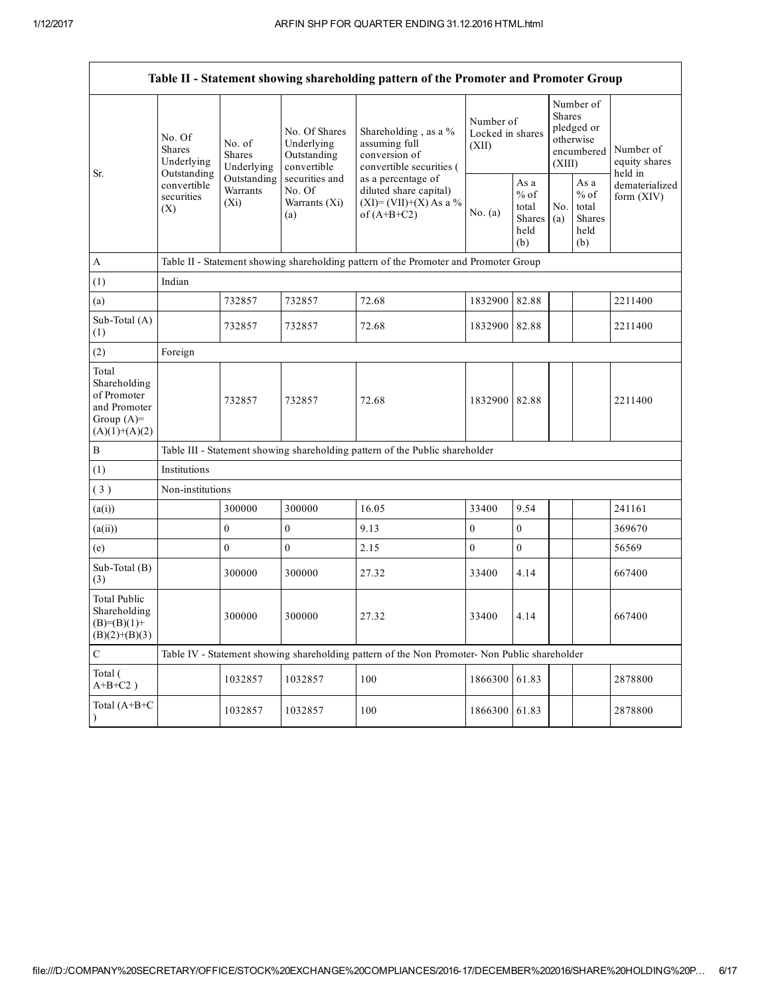|                                                                                         |                                                 |                                       |                                                           | Table II - Statement showing shareholding pattern of the Promoter and Promoter Group          |                                        |                                                         |                         |                                                    |                                       |
|-----------------------------------------------------------------------------------------|-------------------------------------------------|---------------------------------------|-----------------------------------------------------------|-----------------------------------------------------------------------------------------------|----------------------------------------|---------------------------------------------------------|-------------------------|----------------------------------------------------|---------------------------------------|
| Sr.                                                                                     | No. Of<br>Shares<br>Underlying                  | No. of<br><b>Shares</b><br>Underlying | No. Of Shares<br>Underlying<br>Outstanding<br>convertible | Shareholding, as a %<br>assuming full<br>conversion of<br>convertible securities (            | Number of<br>Locked in shares<br>(XII) |                                                         | <b>Shares</b><br>(XIII) | Number of<br>pledged or<br>otherwise<br>encumbered | Number of<br>equity shares<br>held in |
|                                                                                         | Outstanding<br>convertible<br>securities<br>(X) | Outstanding<br>Warrants<br>$(X_i)$    |                                                           | as a percentage of<br>diluted share capital)<br>$(XI)=(VII)+(X) As a %$<br>of $(A+B+C2)$      | No. $(a)$                              | As a<br>$%$ of<br>total<br><b>Shares</b><br>held<br>(b) | No.<br>(a)              | As a<br>$%$ of<br>total<br>Shares<br>held<br>(b)   | dematerialized<br>form (XIV)          |
| $\mathbf{A}$                                                                            |                                                 |                                       |                                                           | Table II - Statement showing shareholding pattern of the Promoter and Promoter Group          |                                        |                                                         |                         |                                                    |                                       |
| (1)                                                                                     | Indian                                          |                                       |                                                           |                                                                                               |                                        |                                                         |                         |                                                    |                                       |
| (a)                                                                                     |                                                 | 732857                                | 732857                                                    | 72.68                                                                                         | 1832900                                | 82.88                                                   |                         |                                                    | 2211400                               |
| Sub-Total (A)<br>(1)                                                                    |                                                 | 732857                                | 732857                                                    | 72.68                                                                                         | 1832900 82.88                          |                                                         |                         |                                                    | 2211400                               |
| (2)                                                                                     | Foreign                                         |                                       |                                                           |                                                                                               |                                        |                                                         |                         |                                                    |                                       |
| Total<br>Shareholding<br>of Promoter<br>and Promoter<br>Group $(A)=$<br>$(A)(1)+(A)(2)$ |                                                 | 732857                                | 732857                                                    | 72.68                                                                                         | 1832900 82.88                          |                                                         |                         |                                                    | 2211400                               |
| $\, {\bf B}$                                                                            |                                                 |                                       |                                                           | Table III - Statement showing shareholding pattern of the Public shareholder                  |                                        |                                                         |                         |                                                    |                                       |
| (1)                                                                                     | Institutions                                    |                                       |                                                           |                                                                                               |                                        |                                                         |                         |                                                    |                                       |
| (3)                                                                                     | Non-institutions                                |                                       |                                                           |                                                                                               |                                        |                                                         |                         |                                                    |                                       |
| (a(i))                                                                                  |                                                 | 300000                                | 300000                                                    | 16.05                                                                                         | 33400                                  | 9.54                                                    |                         |                                                    | 241161                                |
| (a(ii))                                                                                 |                                                 | $\mathbf{0}$                          | $\boldsymbol{0}$                                          | 9.13                                                                                          | $\boldsymbol{0}$                       | $\boldsymbol{0}$                                        |                         |                                                    | 369670                                |
| (e)                                                                                     |                                                 | $\mathbf{0}$                          | $\mathbf{0}$                                              | 2.15                                                                                          | $\mathbf{0}$                           | $\overline{0}$                                          |                         |                                                    | 56569                                 |
| Sub-Total (B)<br>(3)                                                                    |                                                 | 300000                                | 300000                                                    | 27.32                                                                                         | 33400                                  | 4.14                                                    |                         |                                                    | 667400                                |
| <b>Total Public</b><br>Shareholding<br>$(B)=(B)(1)+$<br>$(B)(2)+(B)(3)$                 |                                                 | 300000                                | 300000                                                    | 27.32                                                                                         | 33400                                  | 4.14                                                    |                         |                                                    | 667400                                |
| $\mathbf C$                                                                             |                                                 |                                       |                                                           | Table IV - Statement showing shareholding pattern of the Non Promoter- Non Public shareholder |                                        |                                                         |                         |                                                    |                                       |
| Total (<br>$A+B+C2$ )                                                                   |                                                 | 1032857                               | 1032857                                                   | 100                                                                                           | 1866300                                | 61.83                                                   |                         |                                                    | 2878800                               |
| Total (A+B+C                                                                            |                                                 | 1032857                               | 1032857                                                   | 100                                                                                           | 1866300                                | 61.83                                                   |                         |                                                    | 2878800                               |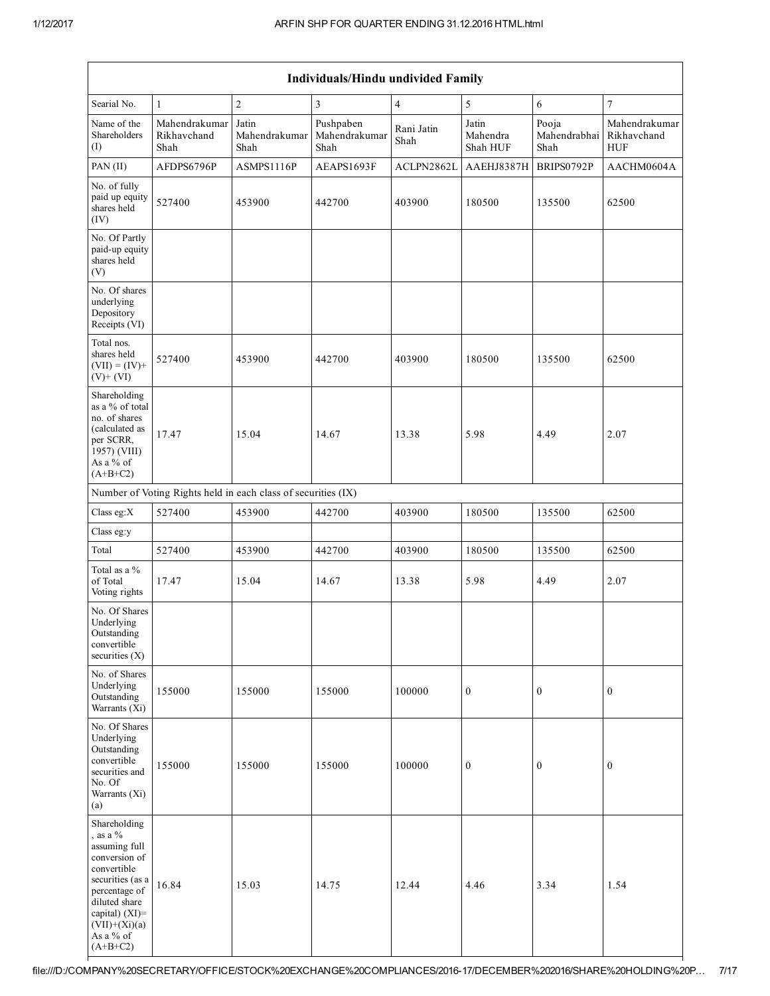| <b>Individuals/Hindu undivided Family</b>                                                                                                                                                         |                                      |                                                               |                                    |                    |                               |                               |                                            |  |  |  |
|---------------------------------------------------------------------------------------------------------------------------------------------------------------------------------------------------|--------------------------------------|---------------------------------------------------------------|------------------------------------|--------------------|-------------------------------|-------------------------------|--------------------------------------------|--|--|--|
| Searial No.                                                                                                                                                                                       | $\mathbf{1}$                         | $\overline{c}$                                                | 3                                  | $\overline{4}$     | $\sqrt{5}$                    | 6                             | $\tau$                                     |  |  |  |
| Name of the<br>Shareholders<br>(I)                                                                                                                                                                | Mahendrakumar<br>Rikhavchand<br>Shah | Jatin<br>Mahendrakumar<br>Shah                                | Pushpaben<br>Mahendrakumar<br>Shah | Rani Jatin<br>Shah | Jatin<br>Mahendra<br>Shah HUF | Pooja<br>Mahendrabhai<br>Shah | Mahendrakumar<br>Rikhavchand<br><b>HUF</b> |  |  |  |
| PAN (II)                                                                                                                                                                                          | AFDPS6796P                           | ASMPS1116P                                                    | AEAPS1693F                         | ACLPN2862L         | AAEHJ8387H                    | BRIPS0792P                    | AACHM0604A                                 |  |  |  |
| No. of fully<br>paid up equity<br>shares held<br>(IV)                                                                                                                                             | 527400                               | 453900                                                        | 442700                             | 403900             | 180500                        | 135500                        | 62500                                      |  |  |  |
| No. Of Partly<br>paid-up equity<br>shares held<br>(V)                                                                                                                                             |                                      |                                                               |                                    |                    |                               |                               |                                            |  |  |  |
| No. Of shares<br>underlying<br>Depository<br>Receipts (VI)                                                                                                                                        |                                      |                                                               |                                    |                    |                               |                               |                                            |  |  |  |
| Total nos.<br>shares held<br>$(VII) = (IV) +$<br>$(V)+(VI)$                                                                                                                                       | 527400                               | 453900                                                        | 442700                             | 403900             | 180500                        | 135500                        | 62500                                      |  |  |  |
| Shareholding<br>as a % of total<br>no. of shares<br>(calculated as<br>per SCRR,<br>1957) (VIII)<br>As a % of<br>$(A+B+C2)$                                                                        | 17.47                                | 15.04                                                         | 14.67                              | 13.38              | 5.98                          | 4.49                          | 2.07                                       |  |  |  |
|                                                                                                                                                                                                   |                                      | Number of Voting Rights held in each class of securities (IX) |                                    |                    |                               |                               |                                            |  |  |  |
| Class eg:X                                                                                                                                                                                        | 527400                               | 453900                                                        | 442700                             | 403900             | 180500                        | 135500                        | 62500                                      |  |  |  |
| Class eg:y                                                                                                                                                                                        |                                      |                                                               |                                    |                    |                               |                               |                                            |  |  |  |
| Total                                                                                                                                                                                             | 527400                               | 453900                                                        | 442700                             | 403900             | 180500                        | 135500                        | 62500                                      |  |  |  |
| Total as a %<br>of Total<br>Voting rights                                                                                                                                                         | 17.47                                | 15.04                                                         | 14.67                              | 13.38              | 5.98                          | 4.49                          | 2.07                                       |  |  |  |
| No. Of Shares<br>Underlying<br>Outstanding<br>convertible<br>securities (X)                                                                                                                       |                                      |                                                               |                                    |                    |                               |                               |                                            |  |  |  |
| No. of Shares<br>Underlying<br>Outstanding<br>Warrants $(Xi)$                                                                                                                                     | 155000                               | 155000                                                        | 155000                             | 100000             | $\boldsymbol{0}$              | $\boldsymbol{0}$              | $\boldsymbol{0}$                           |  |  |  |
| No. Of Shares<br>Underlying<br>Outstanding<br>convertible<br>securities and<br>No. Of<br>Warrants (Xi)<br>(a)                                                                                     | 155000                               | 155000                                                        | 155000                             | 100000             | $\boldsymbol{0}$              | $\boldsymbol{0}$              | $\boldsymbol{0}$                           |  |  |  |
| Shareholding<br>, as a $%$<br>assuming full<br>conversion of<br>convertible<br>securities (as a<br>percentage of<br>diluted share<br>capital) (XI)=<br>$(VII)+(Xi)(a)$<br>As a % of<br>$(A+B+C2)$ | 16.84                                | 15.03                                                         | 14.75                              | 12.44              | 4.46                          | 3.34                          | 1.54                                       |  |  |  |

# file:///D:/COMPANY%20SECRETARY/OFFICE/STOCK%20EXCHANGE%20COMPLIANCES/201617/DECEMBER%202016/SHARE%20HOLDING%20P… 7/17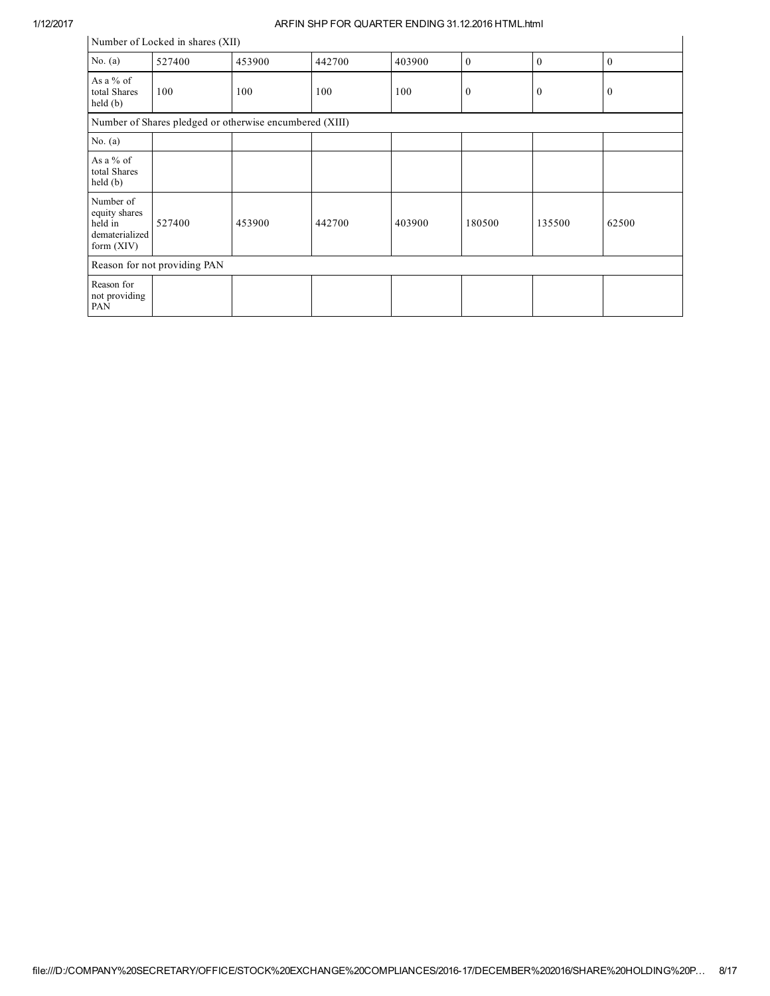|                                                                         | Number of Locked in shares (XII) |        |        |        |              |              |              |  |  |  |
|-------------------------------------------------------------------------|----------------------------------|--------|--------|--------|--------------|--------------|--------------|--|--|--|
| No. $(a)$                                                               | 527400                           | 453900 | 442700 | 403900 | $\mathbf{0}$ | $\mathbf{0}$ | $\mathbf{0}$ |  |  |  |
| As a $%$ of<br>total Shares<br>held(b)                                  | 100                              | 100    | 100    | 100    | $\mathbf{0}$ | $\mathbf{0}$ | $\mathbf{0}$ |  |  |  |
| Number of Shares pledged or otherwise encumbered (XIII)                 |                                  |        |        |        |              |              |              |  |  |  |
| No. $(a)$                                                               |                                  |        |        |        |              |              |              |  |  |  |
| As a $%$ of<br>total Shares<br>held(b)                                  |                                  |        |        |        |              |              |              |  |  |  |
| Number of<br>equity shares<br>held in<br>dematerialized<br>form $(XIV)$ | 527400                           | 453900 | 442700 | 403900 | 180500       | 135500       | 62500        |  |  |  |
|                                                                         | Reason for not providing PAN     |        |        |        |              |              |              |  |  |  |
| Reason for<br>not providing<br>PAN                                      |                                  |        |        |        |              |              |              |  |  |  |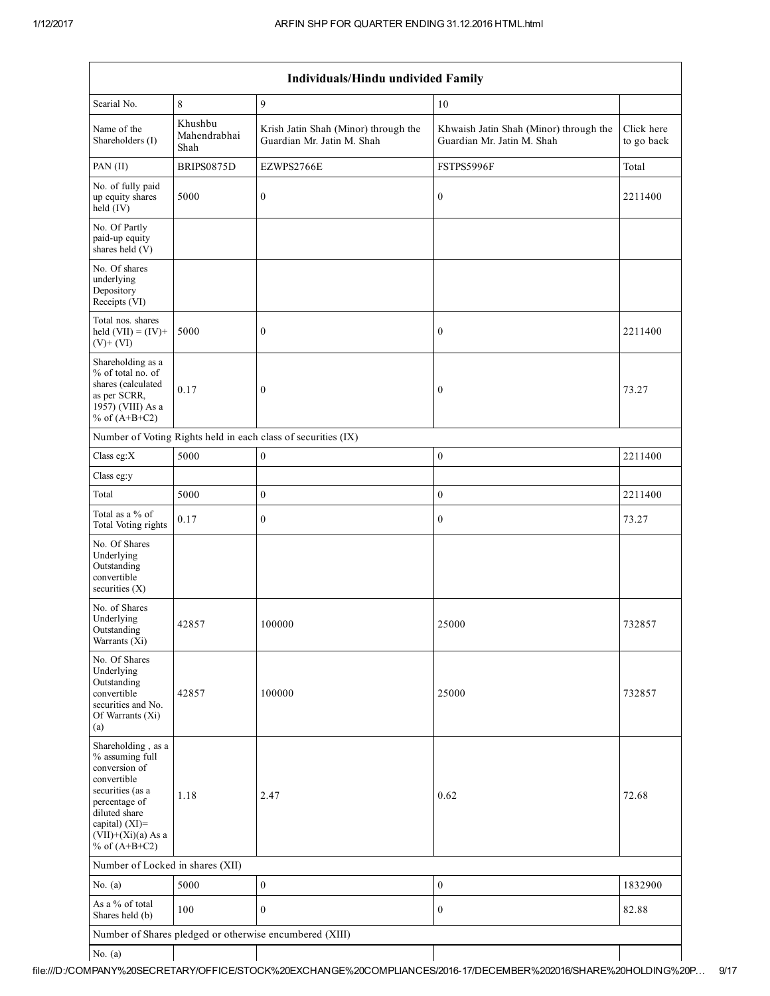Г

| Individuals/Hindu undivided Family                                                                                                                                                       |                                 |                                                                    |                                                                      |                          |  |  |  |  |  |
|------------------------------------------------------------------------------------------------------------------------------------------------------------------------------------------|---------------------------------|--------------------------------------------------------------------|----------------------------------------------------------------------|--------------------------|--|--|--|--|--|
| Searial No.                                                                                                                                                                              | 8                               | 9                                                                  | 10                                                                   |                          |  |  |  |  |  |
| Name of the<br>Shareholders (I)                                                                                                                                                          | Khushbu<br>Mahendrabhai<br>Shah | Krish Jatin Shah (Minor) through the<br>Guardian Mr. Jatin M. Shah | Khwaish Jatin Shah (Minor) through the<br>Guardian Mr. Jatin M. Shah | Click here<br>to go back |  |  |  |  |  |
| PAN (II)                                                                                                                                                                                 | BRIPS0875D                      | EZWPS2766E                                                         | FSTPS5996F                                                           | Total                    |  |  |  |  |  |
| No. of fully paid<br>up equity shares<br>$held$ (IV)                                                                                                                                     | 5000                            | $\boldsymbol{0}$                                                   | $\boldsymbol{0}$                                                     | 2211400                  |  |  |  |  |  |
| No. Of Partly<br>paid-up equity<br>shares held (V)                                                                                                                                       |                                 |                                                                    |                                                                      |                          |  |  |  |  |  |
| No. Of shares<br>underlying<br>Depository<br>Receipts (VI)                                                                                                                               |                                 |                                                                    |                                                                      |                          |  |  |  |  |  |
| Total nos. shares<br>held $(VII) = (IV) +$<br>$(V)+(VI)$                                                                                                                                 | 5000                            | $\boldsymbol{0}$                                                   | $\boldsymbol{0}$                                                     | 2211400                  |  |  |  |  |  |
| Shareholding as a<br>% of total no. of<br>shares (calculated<br>as per SCRR,<br>1957) (VIII) As a<br>% of $(A+B+C2)$                                                                     | 0.17                            | $\boldsymbol{0}$                                                   | $\boldsymbol{0}$                                                     | 73.27                    |  |  |  |  |  |
|                                                                                                                                                                                          |                                 | Number of Voting Rights held in each class of securities (IX)      |                                                                      |                          |  |  |  |  |  |
| Class eg: $X$                                                                                                                                                                            | 5000                            | $\boldsymbol{0}$                                                   | $\boldsymbol{0}$                                                     | 2211400                  |  |  |  |  |  |
| Class eg:y                                                                                                                                                                               |                                 |                                                                    |                                                                      |                          |  |  |  |  |  |
| Total                                                                                                                                                                                    | 5000                            | $\boldsymbol{0}$                                                   | $\boldsymbol{0}$                                                     | 2211400                  |  |  |  |  |  |
| Total as a % of<br>Total Voting rights                                                                                                                                                   | 0.17                            | $\boldsymbol{0}$                                                   | $\boldsymbol{0}$                                                     | 73.27                    |  |  |  |  |  |
| No. Of Shares<br>Underlying<br>Outstanding<br>convertible<br>securities (X)                                                                                                              |                                 |                                                                    |                                                                      |                          |  |  |  |  |  |
| No. of Shares<br>Underlying<br>Outstanding<br>Warrants (Xi)                                                                                                                              | 42857                           | 100000                                                             | 25000                                                                | 732857                   |  |  |  |  |  |
| No. Of Shares<br>Underlying<br>Outstanding<br>convertible<br>securities and No.<br>Of Warrants (Xi)<br>(a)                                                                               | 42857                           | 100000                                                             | 25000                                                                | 732857                   |  |  |  |  |  |
| Shareholding, as a<br>% assuming full<br>conversion of<br>convertible<br>securities (as a<br>percentage of<br>diluted share<br>capital) (XI)=<br>$(VII)+(Xi)(a)$ As a<br>% of $(A+B+C2)$ | 1.18                            | 2.47                                                               | 0.62                                                                 | 72.68                    |  |  |  |  |  |
| Number of Locked in shares (XII)                                                                                                                                                         |                                 |                                                                    |                                                                      |                          |  |  |  |  |  |
| No. $(a)$                                                                                                                                                                                | 5000                            | $\boldsymbol{0}$                                                   | $\mathbf{0}$                                                         | 1832900                  |  |  |  |  |  |
| As a % of total<br>Shares held (b)                                                                                                                                                       | 100                             | $\mathbf{0}$                                                       | $\mathbf{0}$                                                         | 82.88                    |  |  |  |  |  |
|                                                                                                                                                                                          |                                 | Number of Shares pledged or otherwise encumbered (XIII)            |                                                                      |                          |  |  |  |  |  |
| No. $(a)$                                                                                                                                                                                |                                 |                                                                    |                                                                      |                          |  |  |  |  |  |

# file:///D:/COMPANY%20SECRETARY/OFFICE/STOCK%20EXCHANGE%20COMPLIANCES/201617/DECEMBER%202016/SHARE%20HOLDING%20P… 9/17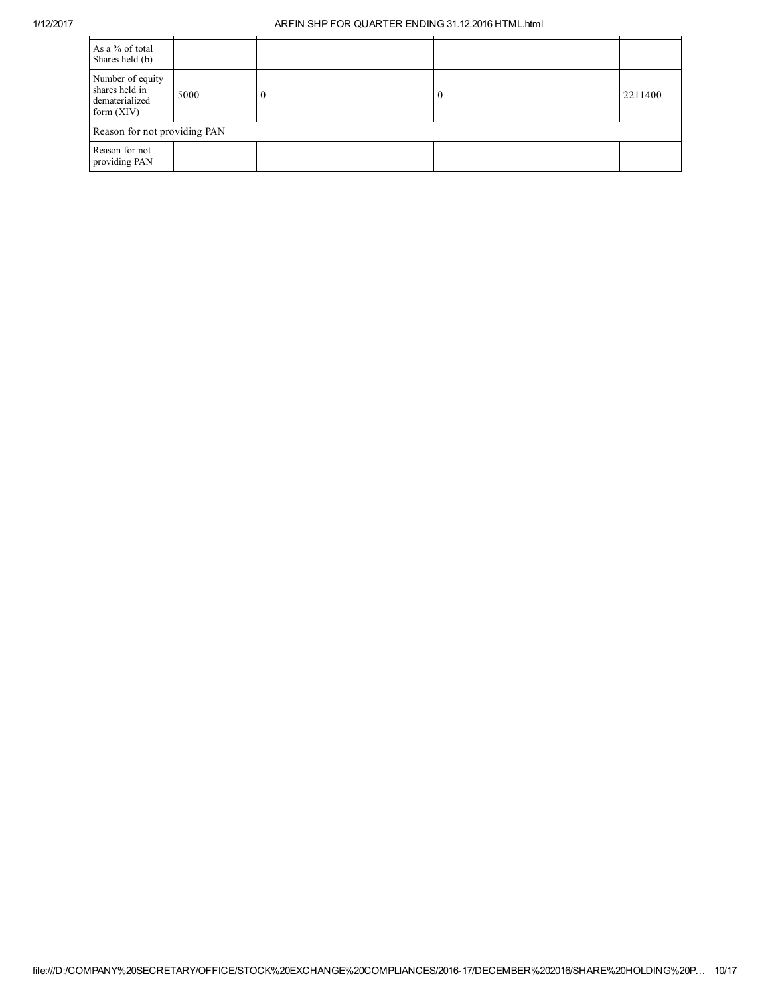| As a % of total<br>Shares held (b)                                   |      |          |                  |         |
|----------------------------------------------------------------------|------|----------|------------------|---------|
| Number of equity<br>shares held in<br>dematerialized<br>form $(XIV)$ | 5000 | $\bf{0}$ | $\boldsymbol{0}$ | 2211400 |
| Reason for not providing PAN                                         |      |          |                  |         |
| Reason for not<br>providing PAN                                      |      |          |                  |         |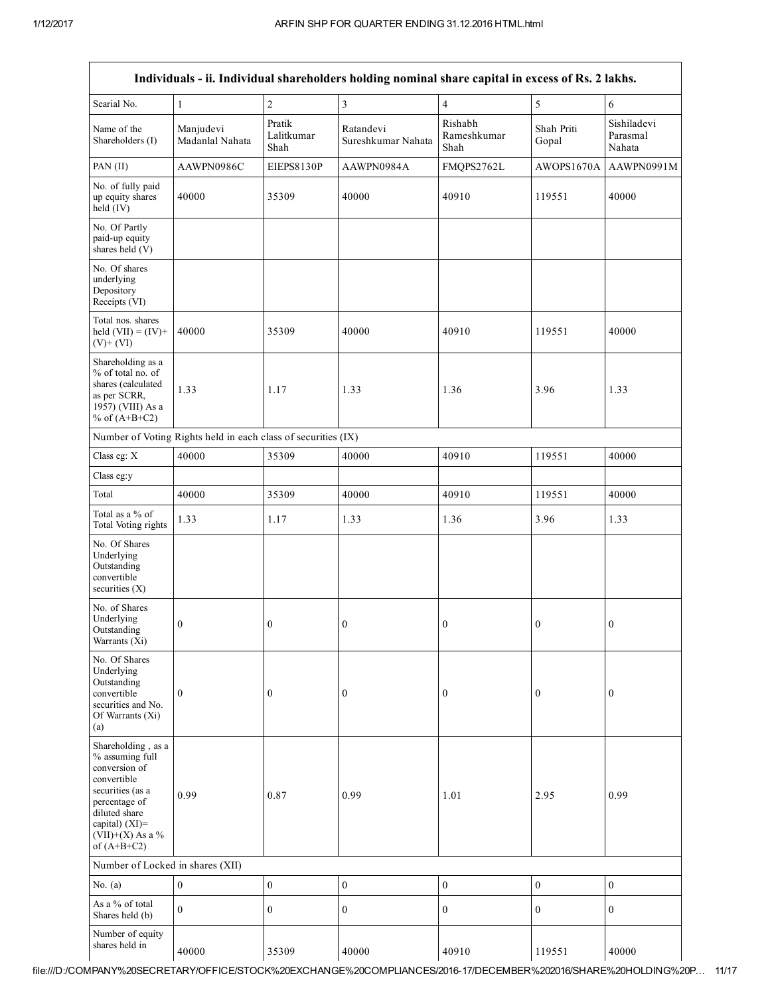|                                                                                                                                                                                         |                                                               |                              | Individuals - ii. Individual shareholders holding nominal share capital in excess of Rs. 2 lakhs. |                                |                     |                                   |
|-----------------------------------------------------------------------------------------------------------------------------------------------------------------------------------------|---------------------------------------------------------------|------------------------------|---------------------------------------------------------------------------------------------------|--------------------------------|---------------------|-----------------------------------|
| Searial No.                                                                                                                                                                             | $\mathbf{1}$                                                  | $\sqrt{2}$                   | 3                                                                                                 | $\overline{4}$                 | $\sqrt{5}$          | 6                                 |
| Name of the<br>Shareholders (I)                                                                                                                                                         | Manjudevi<br>Madanlal Nahata                                  | Pratik<br>Lalitkumar<br>Shah | Ratandevi<br>Sureshkumar Nahata                                                                   | Rishabh<br>Rameshkumar<br>Shah | Shah Priti<br>Gopal | Sishiladevi<br>Parasmal<br>Nahata |
| PAN (II)                                                                                                                                                                                | AAWPN0986C                                                    | EIEPS8130P                   | AAWPN0984A                                                                                        | FMQPS2762L                     | AWOPS1670A          | AAWPN0991M                        |
| No. of fully paid<br>up equity shares<br>held $(IV)$                                                                                                                                    | 40000                                                         | 35309                        | 40000                                                                                             | 40910                          | 119551              | 40000                             |
| No. Of Partly<br>paid-up equity<br>shares held (V)                                                                                                                                      |                                                               |                              |                                                                                                   |                                |                     |                                   |
| No. Of shares<br>underlying<br>Depository<br>Receipts (VI)                                                                                                                              |                                                               |                              |                                                                                                   |                                |                     |                                   |
| Total nos. shares<br>held $(VII) = (IV) +$<br>$(V)+(VI)$                                                                                                                                | 40000                                                         | 35309                        | 40000                                                                                             | 40910                          | 119551              | 40000                             |
| Shareholding as a<br>% of total no. of<br>shares (calculated<br>as per SCRR,<br>1957) (VIII) As a<br>% of $(A+B+C2)$                                                                    | 1.33                                                          | 1.17                         | 1.33                                                                                              | 1.36                           | 3.96                | 1.33                              |
|                                                                                                                                                                                         | Number of Voting Rights held in each class of securities (IX) |                              |                                                                                                   |                                |                     |                                   |
| Class eg: X                                                                                                                                                                             | 40000                                                         | 35309                        | 40000                                                                                             | 40910                          | 119551              | 40000                             |
| Class eg:y                                                                                                                                                                              |                                                               |                              |                                                                                                   |                                |                     |                                   |
| Total                                                                                                                                                                                   | 40000                                                         | 35309                        | 40000                                                                                             | 40910                          | 119551              | 40000                             |
| Total as a % of<br>Total Voting rights                                                                                                                                                  | 1.33                                                          | 1.17                         | 1.33                                                                                              | 1.36                           | 3.96                | 1.33                              |
| No. Of Shares<br>Underlying<br>Outstanding<br>convertible<br>securities $(X)$                                                                                                           |                                                               |                              |                                                                                                   |                                |                     |                                   |
| No. of Shares<br>Underlying<br>Outstanding<br>Warrants (Xi)                                                                                                                             | $\mathbf{0}$                                                  | $\overline{0}$               | $\boldsymbol{0}$                                                                                  | $\boldsymbol{0}$               | $\bf{0}$            | $\bf{0}$                          |
| No. Of Shares<br>Underlying<br>Outstanding<br>convertible<br>securities and No.<br>Of Warrants (Xi)<br>(a)                                                                              | $\boldsymbol{0}$                                              | $\boldsymbol{0}$             | $\mathbf{0}$                                                                                      | $\mathbf{0}$                   | $\boldsymbol{0}$    | $\boldsymbol{0}$                  |
| Shareholding, as a<br>% assuming full<br>conversion of<br>convertible<br>securities (as a<br>percentage of<br>diluted share<br>capital) $(XI)$ =<br>$(VII)+(X)$ As a %<br>of $(A+B+C2)$ | 0.99                                                          | 0.87                         | 0.99                                                                                              | 1.01                           | 2.95                | 0.99                              |
| Number of Locked in shares (XII)                                                                                                                                                        |                                                               |                              |                                                                                                   |                                |                     |                                   |
| No. $(a)$                                                                                                                                                                               | $\boldsymbol{0}$                                              | $\boldsymbol{0}$             | $\boldsymbol{0}$                                                                                  | $\boldsymbol{0}$               | $\boldsymbol{0}$    | $\boldsymbol{0}$                  |
| As a % of total<br>Shares held (b)                                                                                                                                                      | $\mathbf{0}$                                                  | $\mathbf{0}$                 | $\overline{0}$                                                                                    | $\boldsymbol{0}$               | $\boldsymbol{0}$    | $\boldsymbol{0}$                  |
| Number of equity<br>shares held in                                                                                                                                                      | 40000                                                         | 35309                        | 40000                                                                                             | 40910                          | 119551              | 40000                             |

file:///D:/COMPANY%20SECRETARY/OFFICE/STOCK%20EXCHANGE%20COMPLIANCES/201617/DECEMBER%202016/SHARE%20HOLDING%20P… 11/17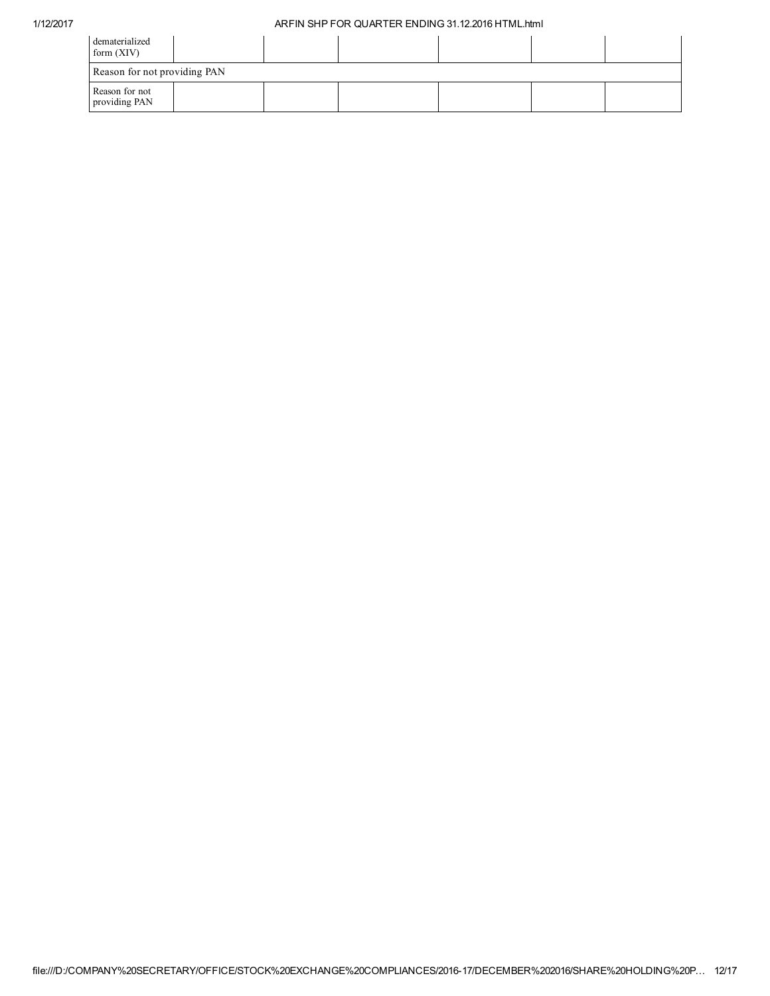| dematerialized<br>form $(XIV)$  |  |  |  |  |  |  |  |
|---------------------------------|--|--|--|--|--|--|--|
| Reason for not providing PAN    |  |  |  |  |  |  |  |
| Reason for not<br>providing PAN |  |  |  |  |  |  |  |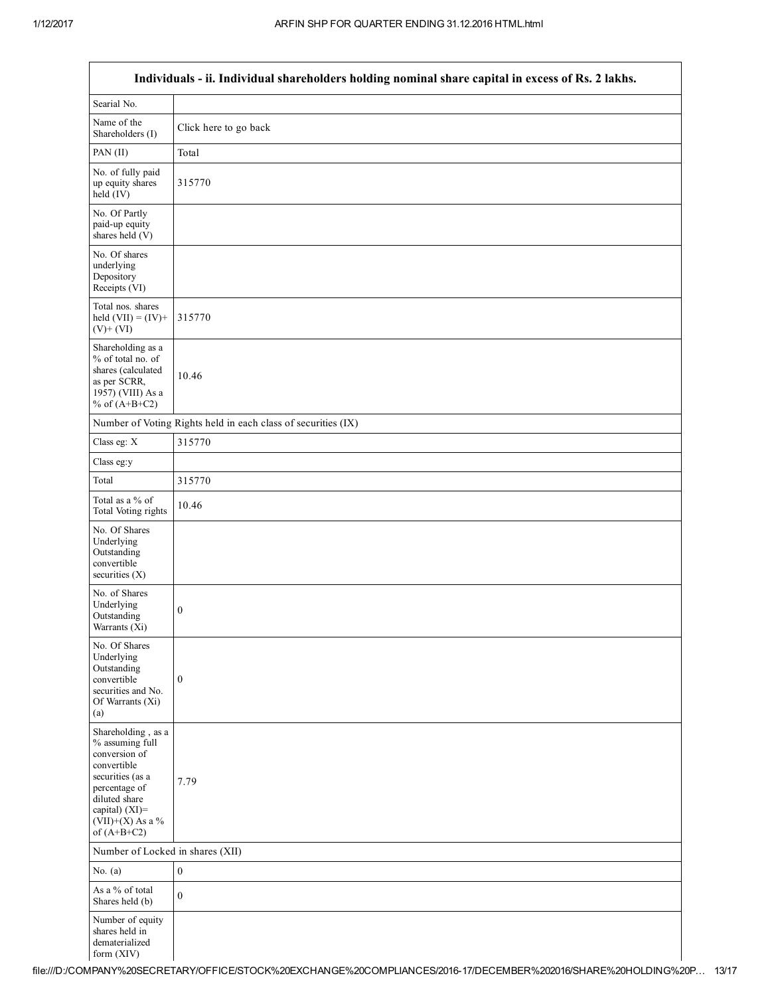| Individuals - ii. Individual shareholders holding nominal share capital in excess of Rs. 2 lakhs.                                                                                    |                                                               |  |  |  |  |  |  |
|--------------------------------------------------------------------------------------------------------------------------------------------------------------------------------------|---------------------------------------------------------------|--|--|--|--|--|--|
| Searial No.                                                                                                                                                                          |                                                               |  |  |  |  |  |  |
| Name of the<br>Shareholders (I)                                                                                                                                                      | Click here to go back                                         |  |  |  |  |  |  |
| PAN (II)                                                                                                                                                                             | Total                                                         |  |  |  |  |  |  |
| No. of fully paid<br>up equity shares<br>$held$ (IV)                                                                                                                                 | 315770                                                        |  |  |  |  |  |  |
| No. Of Partly<br>paid-up equity<br>shares held $(V)$                                                                                                                                 |                                                               |  |  |  |  |  |  |
| No. Of shares<br>underlying<br>Depository<br>Receipts (VI)                                                                                                                           |                                                               |  |  |  |  |  |  |
| Total nos. shares<br>held $(VII) = (IV) +$<br>$(V)$ + $(VI)$                                                                                                                         | 315770                                                        |  |  |  |  |  |  |
| Shareholding as a<br>% of total no. of<br>shares (calculated<br>as per SCRR,<br>1957) (VIII) As a<br>% of $(A+B+C2)$                                                                 | 10.46                                                         |  |  |  |  |  |  |
|                                                                                                                                                                                      | Number of Voting Rights held in each class of securities (IX) |  |  |  |  |  |  |
| Class eg: X                                                                                                                                                                          | 315770                                                        |  |  |  |  |  |  |
| Class eg:y                                                                                                                                                                           |                                                               |  |  |  |  |  |  |
| Total                                                                                                                                                                                | 315770                                                        |  |  |  |  |  |  |
| Total as a % of<br>Total Voting rights                                                                                                                                               | 10.46                                                         |  |  |  |  |  |  |
| No. Of Shares<br>Underlying<br>Outstanding<br>convertible<br>securities $(X)$                                                                                                        |                                                               |  |  |  |  |  |  |
| No. of Shares<br>Underlying<br>Outstanding<br>Warrants (Xi)                                                                                                                          | $\boldsymbol{0}$                                              |  |  |  |  |  |  |
| No. Of Shares<br>Underlying<br>Outstanding<br>convertible<br>securities and No.<br>Of Warrants (Xi)<br>(a)                                                                           | $\boldsymbol{0}$                                              |  |  |  |  |  |  |
| Shareholding, as a<br>% assuming full<br>conversion of<br>convertible<br>securities (as a<br>percentage of<br>diluted share<br>capital) (XI)=<br>$(VII)+(X)$ As a %<br>of $(A+B+C2)$ | 7.79                                                          |  |  |  |  |  |  |
| Number of Locked in shares (XII)                                                                                                                                                     |                                                               |  |  |  |  |  |  |
| No. $(a)$                                                                                                                                                                            | $\boldsymbol{0}$                                              |  |  |  |  |  |  |
| As a % of total<br>Shares held (b)                                                                                                                                                   | $\boldsymbol{0}$                                              |  |  |  |  |  |  |
| Number of equity<br>shares held in<br>dematerialized<br>form (XIV)                                                                                                                   |                                                               |  |  |  |  |  |  |

## Individuals - ii. Individual shareholders holding nominal share capital in excess of Rs. 2 lakhs.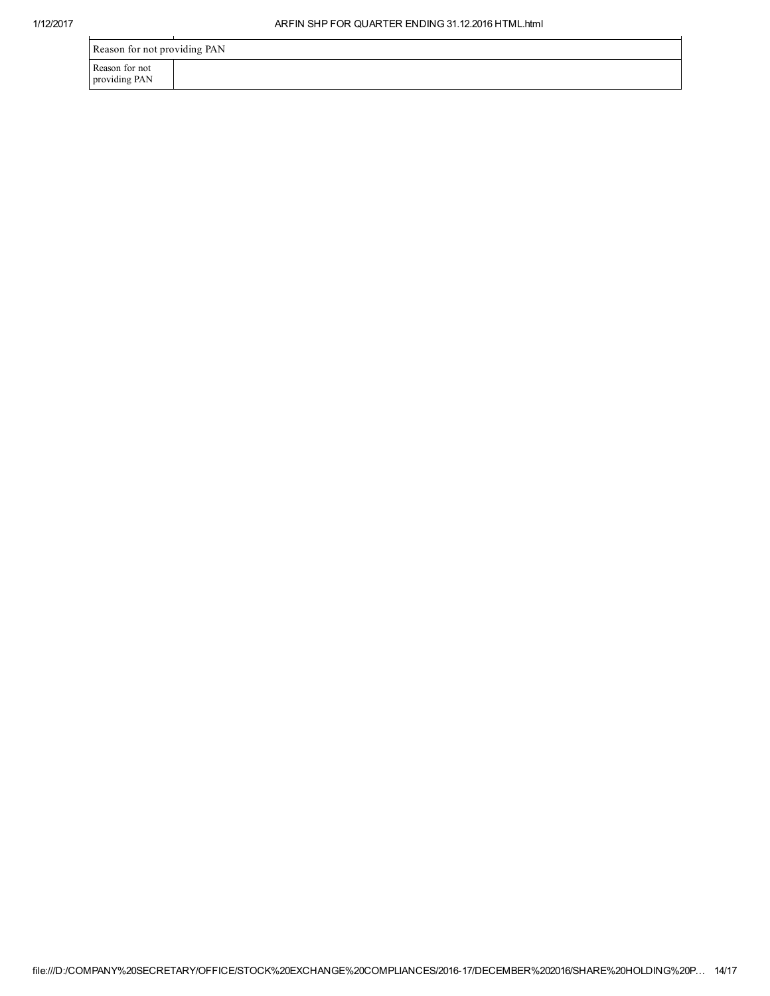| Reason for not providing PAN    |  |  |  |  |  |
|---------------------------------|--|--|--|--|--|
| Reason for not<br>providing PAN |  |  |  |  |  |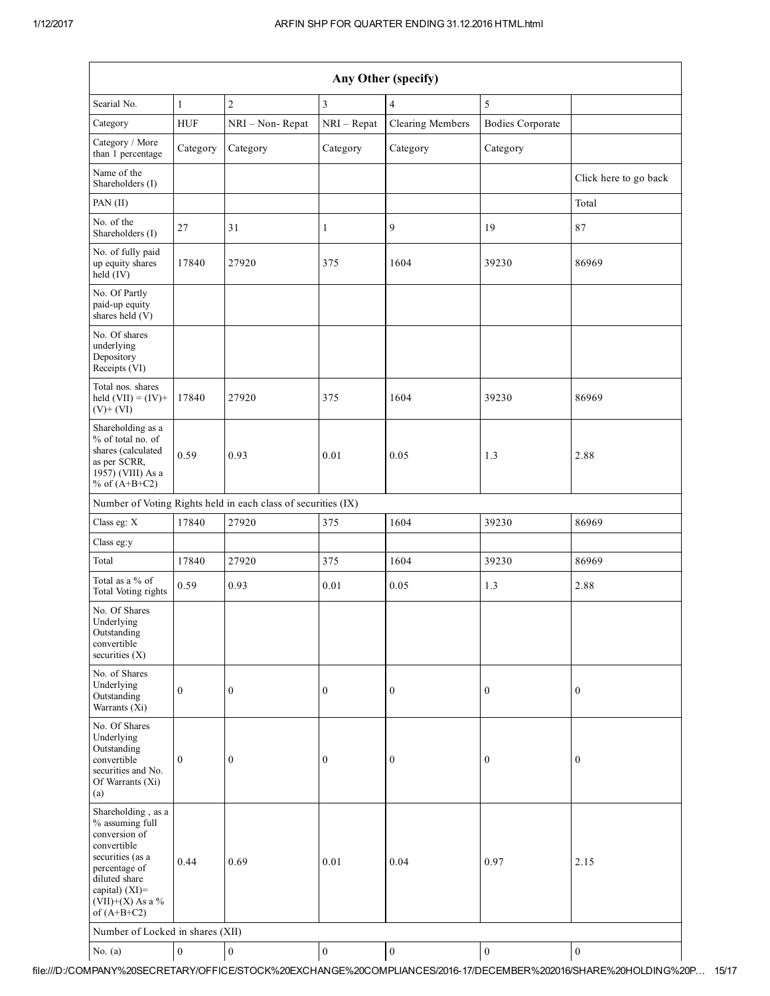| Any Other (specify)                                                                                                                                                                  |                  |                                                               |                  |                         |                         |                       |  |
|--------------------------------------------------------------------------------------------------------------------------------------------------------------------------------------|------------------|---------------------------------------------------------------|------------------|-------------------------|-------------------------|-----------------------|--|
| Searial No.                                                                                                                                                                          | $\mathbf{1}$     | $\boldsymbol{2}$                                              | 3                | $\overline{4}$          | 5                       |                       |  |
| Category                                                                                                                                                                             | <b>HUF</b>       | NRI - Non-Repat                                               | $NRI - Repat$    | <b>Clearing Members</b> | <b>Bodies Corporate</b> |                       |  |
| Category / More<br>than 1 percentage                                                                                                                                                 | Category         | Category                                                      | Category         | Category                | Category                |                       |  |
| Name of the<br>Shareholders (I)                                                                                                                                                      |                  |                                                               |                  |                         |                         | Click here to go back |  |
| PAN (II)                                                                                                                                                                             |                  |                                                               |                  |                         |                         | Total                 |  |
| No. of the<br>Shareholders (I)                                                                                                                                                       | 27               | 31                                                            | $\mathbf{1}$     | 9                       | 19                      | 87                    |  |
| No. of fully paid<br>up equity shares<br>$\text{held}(\text{IV})$                                                                                                                    | 17840            | 27920                                                         | 375              | 1604                    | 39230                   | 86969                 |  |
| No. Of Partly<br>paid-up equity<br>shares held (V)                                                                                                                                   |                  |                                                               |                  |                         |                         |                       |  |
| No. Of shares<br>underlying<br>Depository<br>Receipts (VI)                                                                                                                           |                  |                                                               |                  |                         |                         |                       |  |
| Total nos. shares<br>held $(VII) = (IV) +$<br>$(V)$ + $(VI)$                                                                                                                         | 17840            | 27920                                                         | 375              | 1604                    | 39230                   | 86969                 |  |
| Shareholding as a<br>% of total no. of<br>shares (calculated<br>as per SCRR,<br>1957) (VIII) As a<br>% of $(A+B+C2)$                                                                 | 0.59             | 0.93                                                          | 0.01             | 0.05                    | 1.3                     | 2.88                  |  |
|                                                                                                                                                                                      |                  | Number of Voting Rights held in each class of securities (IX) |                  |                         |                         |                       |  |
| Class eg: X                                                                                                                                                                          | 17840            | 27920                                                         | 375              | 1604                    | 39230                   | 86969                 |  |
| Class eg:y                                                                                                                                                                           |                  |                                                               |                  |                         |                         |                       |  |
| Total                                                                                                                                                                                | 17840            | 27920                                                         | 375              | 1604                    | 39230                   | 86969                 |  |
| Total as a % of<br>Total Voting rights                                                                                                                                               | 0.59             | 0.93                                                          | 0.01             | 0.05                    | 1.3                     | 2.88                  |  |
| No. Of Shares<br>Underlying<br>Outstanding<br>convertible<br>securities (X)                                                                                                          |                  |                                                               |                  |                         |                         |                       |  |
| No. of Shares<br>Underlying<br>Outstanding<br>Warrants (Xi)                                                                                                                          | $\boldsymbol{0}$ | $\boldsymbol{0}$                                              | $\boldsymbol{0}$ | $\mathbf{0}$            | $\boldsymbol{0}$        | $\boldsymbol{0}$      |  |
| No. Of Shares<br>Underlying<br>Outstanding<br>convertible<br>securities and No.<br>Of Warrants (Xi)<br>(a)                                                                           | $\overline{0}$   | $\boldsymbol{0}$                                              | $\boldsymbol{0}$ | $\boldsymbol{0}$        | $\boldsymbol{0}$        | $\boldsymbol{0}$      |  |
| Shareholding, as a<br>% assuming full<br>conversion of<br>convertible<br>securities (as a<br>percentage of<br>diluted share<br>capital) (XI)=<br>$(VII)+(X)$ As a %<br>of $(A+B+C2)$ | 0.44             | 0.69                                                          | 0.01             | 0.04                    | 0.97                    | 2.15                  |  |
| Number of Locked in shares (XII)                                                                                                                                                     |                  |                                                               |                  |                         |                         |                       |  |
| No. $(a)$                                                                                                                                                                            | $\boldsymbol{0}$ | $\boldsymbol{0}$                                              | $\boldsymbol{0}$ | $\boldsymbol{0}$        | $\boldsymbol{0}$        | $\boldsymbol{0}$      |  |

file:///D:/COMPANY%20SECRETARY/OFFICE/STOCK%20EXCHANGE%20COMPLIANCES/201617/DECEMBER%202016/SHARE%20HOLDING%20P… 15/17